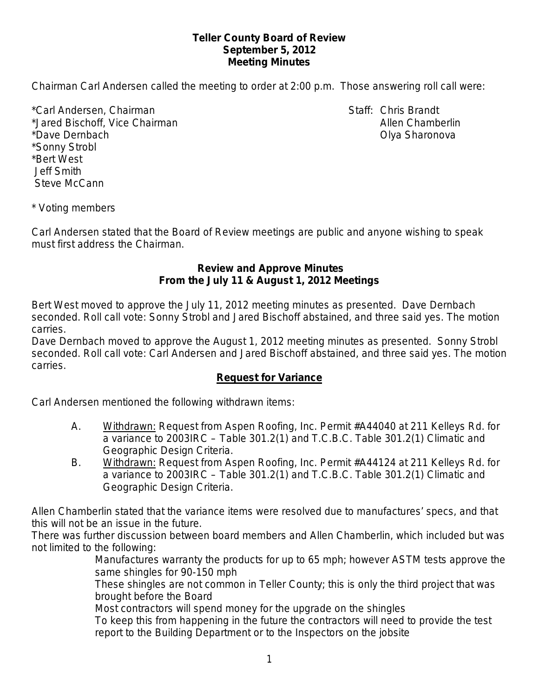## **Teller County Board of Review September 5, 2012 Meeting Minutes**

Chairman Carl Andersen called the meeting to order at 2:00 p.m. Those answering roll call were:

\*Carl Andersen, Chairman Staff: Chris Brandt \*Jared Bischoff, Vice Chairman Allen Chamberlin Allen Chamberlin \*Dave Dernbach Olya Sharonova \*Sonny Strobl \*Bert West Jeff Smith Steve McCann

\* Voting members

Carl Andersen stated that the Board of Review meetings are public and anyone wishing to speak must first address the Chairman.

### **Review and Approve Minutes From the July 11 & August 1, 2012 Meetings**

Bert West moved to approve the July 11, 2012 meeting minutes as presented. Dave Dernbach seconded. Roll call vote: Sonny Strobl and Jared Bischoff abstained, and three said yes. The motion carries.

Dave Dernbach moved to approve the August 1, 2012 meeting minutes as presented. Sonny Strobl seconded. Roll call vote: Carl Andersen and Jared Bischoff abstained, and three said yes. The motion carries.

### **Request for Variance**

Carl Andersen mentioned the following withdrawn items:

- A. Withdrawn: Request from Aspen Roofing, Inc. Permit #A44040 at 211 Kelleys Rd. for a variance to 2003IRC – Table 301.2(1) and T.C.B.C. Table 301.2(1) Climatic and Geographic Design Criteria.
- B. Withdrawn: Request from Aspen Roofing, Inc. Permit #A44124 at 211 Kelleys Rd. for a variance to 2003IRC – Table 301.2(1) and T.C.B.C. Table 301.2(1) Climatic and Geographic Design Criteria.

Allen Chamberlin stated that the variance items were resolved due to manufactures' specs, and that this will not be an issue in the future.

There was further discussion between board members and Allen Chamberlin, which included but was not limited to the following:

Manufactures warranty the products for up to 65 mph; however ASTM tests approve the same shingles for 90-150 mph

These shingles are not common in Teller County; this is only the third project that was brought before the Board

Most contractors will spend money for the upgrade on the shingles

To keep this from happening in the future the contractors will need to provide the test report to the Building Department or to the Inspectors on the jobsite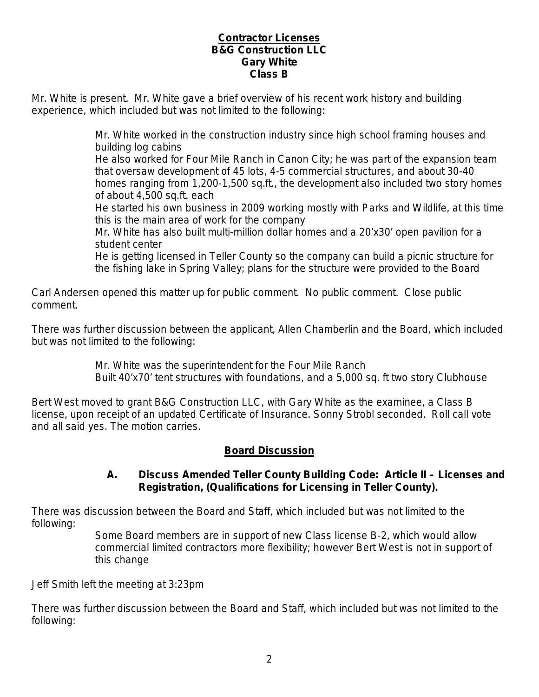## **Contractor Licenses B&G Construction LLC Gary White Class B**

Mr. White is present. Mr. White gave a brief overview of his recent work history and building experience, which included but was not limited to the following:

> Mr. White worked in the construction industry since high school framing houses and building log cabins

He also worked for Four Mile Ranch in Canon City; he was part of the expansion team that oversaw development of 45 lots, 4-5 commercial structures, and about 30-40 homes ranging from 1,200-1,500 sq.ft., the development also included two story homes of about 4,500 sq.ft. each

He started his own business in 2009 working mostly with Parks and Wildlife, at this time this is the main area of work for the company

Mr. White has also built multi-million dollar homes and a 20'x30' open pavilion for a student center

He is getting licensed in Teller County so the company can build a picnic structure for the fishing lake in Spring Valley; plans for the structure were provided to the Board

Carl Andersen opened this matter up for public comment. No public comment. Close public comment.

There was further discussion between the applicant, Allen Chamberlin and the Board, which included but was not limited to the following:

> Mr. White was the superintendent for the Four Mile Ranch Built 40'x70' tent structures with foundations, and a 5,000 sq. ft two story Clubhouse

Bert West moved to grant B&G Construction LLC, with Gary White as the examinee, a Class B license, upon receipt of an updated Certificate of Insurance. Sonny Strobl seconded. Roll call vote and all said yes. The motion carries.

# **Board Discussion**

# **A. Discuss Amended Teller County Building Code: Article II – Licenses and Registration, (Qualifications for Licensing in Teller County).**

There was discussion between the Board and Staff, which included but was not limited to the following:

Some Board members are in support of new Class license B-2, which would allow commercial limited contractors more flexibility; however Bert West is not in support of this change

Jeff Smith left the meeting at 3:23pm

There was further discussion between the Board and Staff, which included but was not limited to the following: